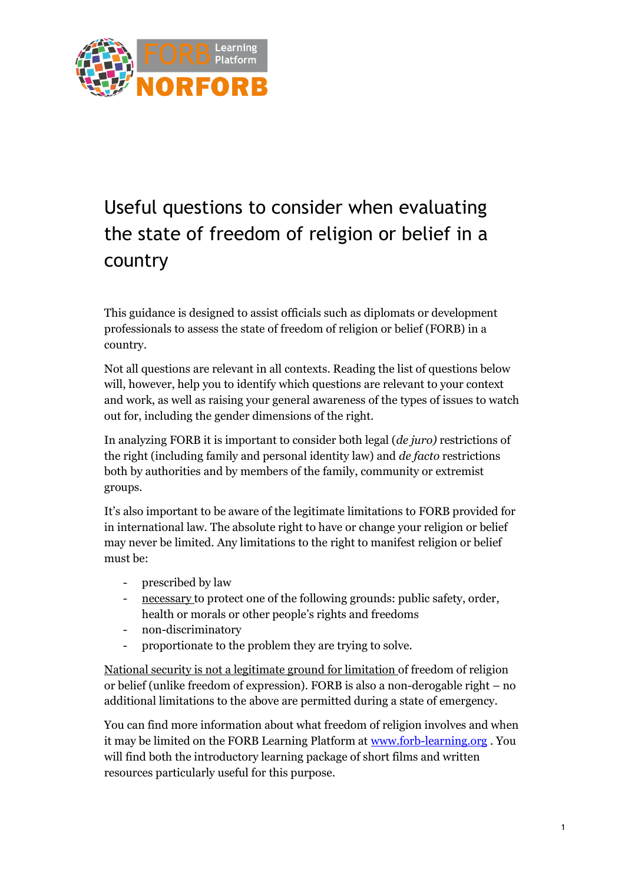

## Useful questions to consider when evaluating the state of freedom of religion or belief in a country

This guidance is designed to assist officials such as diplomats or development professionals to assess the state of freedom of religion or belief (FORB) in a country.

Not all questions are relevant in all contexts. Reading the list of questions below will, however, help you to identify which questions are relevant to your context and work, as well as raising your general awareness of the types of issues to watch out for, including the gender dimensions of the right.

In analyzing FORB it is important to consider both legal (*de juro)* restrictions of the right (including family and personal identity law) and *de facto* restrictions both by authorities and by members of the family, community or extremist groups.

It's also important to be aware of the legitimate limitations to FORB provided for in international law. The absolute right to have or change your religion or belief may never be limited. Any limitations to the right to manifest religion or belief must be:

- prescribed by law
- necessary to protect one of the following grounds: public safety, order, health or morals or other people's rights and freedoms
- non-discriminatory
- proportionate to the problem they are trying to solve.

National security is not a legitimate ground for limitation of freedom of religion or belief (unlike freedom of expression). FORB is also a non-derogable right – no additional limitations to the above are permitted during a state of emergency.

You can find more information about what freedom of religion involves and when it may be limited on the FORB Learning Platform at [www.forb-learning.org](http://www.forb-learning.org/) . You will find both the introductory learning package of short films and written resources particularly useful for this purpose.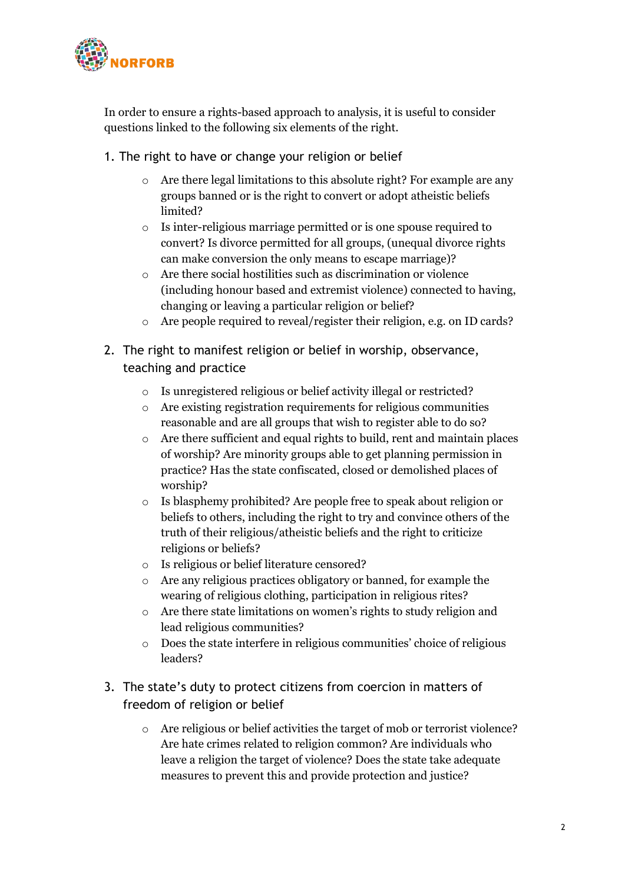

In order to ensure a rights-based approach to analysis, it is useful to consider questions linked to the following six elements of the right.

- 1. The right to have or change your religion or belief
	- o Are there legal limitations to this absolute right? For example are any groups banned or is the right to convert or adopt atheistic beliefs limited?
	- o Is inter-religious marriage permitted or is one spouse required to convert? Is divorce permitted for all groups, (unequal divorce rights can make conversion the only means to escape marriage)?
	- o Are there social hostilities such as discrimination or violence (including honour based and extremist violence) connected to having, changing or leaving a particular religion or belief?
	- o Are people required to reveal/register their religion, e.g. on ID cards?
- 2. The right to manifest religion or belief in worship, observance, teaching and practice
	- o Is unregistered religious or belief activity illegal or restricted?
	- o Are existing registration requirements for religious communities reasonable and are all groups that wish to register able to do so?
	- o Are there sufficient and equal rights to build, rent and maintain places of worship? Are minority groups able to get planning permission in practice? Has the state confiscated, closed or demolished places of worship?
	- o Is blasphemy prohibited? Are people free to speak about religion or beliefs to others, including the right to try and convince others of the truth of their religious/atheistic beliefs and the right to criticize religions or beliefs?
	- o Is religious or belief literature censored?
	- o Are any religious practices obligatory or banned, for example the wearing of religious clothing, participation in religious rites?
	- o Are there state limitations on women's rights to study religion and lead religious communities?
	- o Does the state interfere in religious communities' choice of religious leaders?
- 3. The state's duty to protect citizens from coercion in matters of freedom of religion or belief
	- o Are religious or belief activities the target of mob or terrorist violence? Are hate crimes related to religion common? Are individuals who leave a religion the target of violence? Does the state take adequate measures to prevent this and provide protection and justice?